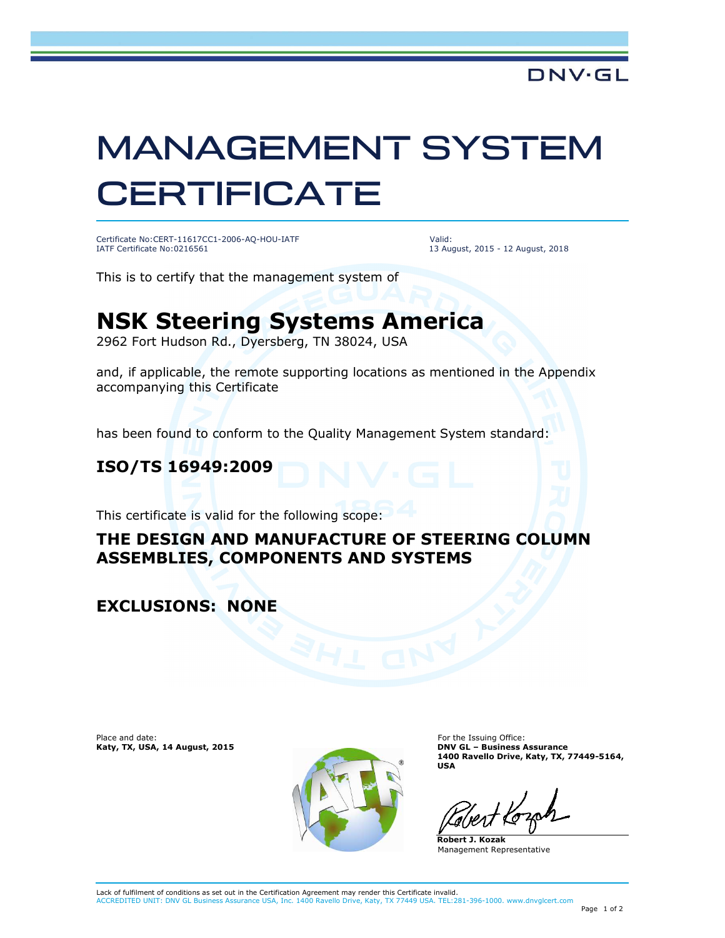# MANAGEMENT SYSTEM **CERTIFICATE**

Certificate No:CERT-11617CC1-2006-AQ-HOU-IATF IATF Certificate No:0216561

Valid: 13 August, 2015 - 12 August, 2018

This is to certify that the management system of

## **NSK Steering Systems America**

2962 Fort Hudson Rd., Dyersberg, TN 38024, USA

and, if applicable, the remote supporting locations as mentioned in the Appendix accompanying this Certificate

has been found to conform to the Quality Management System standard:

#### **ISO/TS 16949:2009**

This certificate is valid for the following scope:

#### **THE DESIGN AND MANUFACTURE OF STEERING COLUMN ASSEMBLIES, COMPONENTS AND SYSTEMS**

#### **EXCLUSIONS: NONE**

Place and date: **Katy, TX, USA, 14 August, 2015**



For the Issuing Office: **DNV GL – Business Assurance 1400 Ravello Drive, Katy, TX, 77449-5164, USA**

**Robert J. Kozak** Management Representative